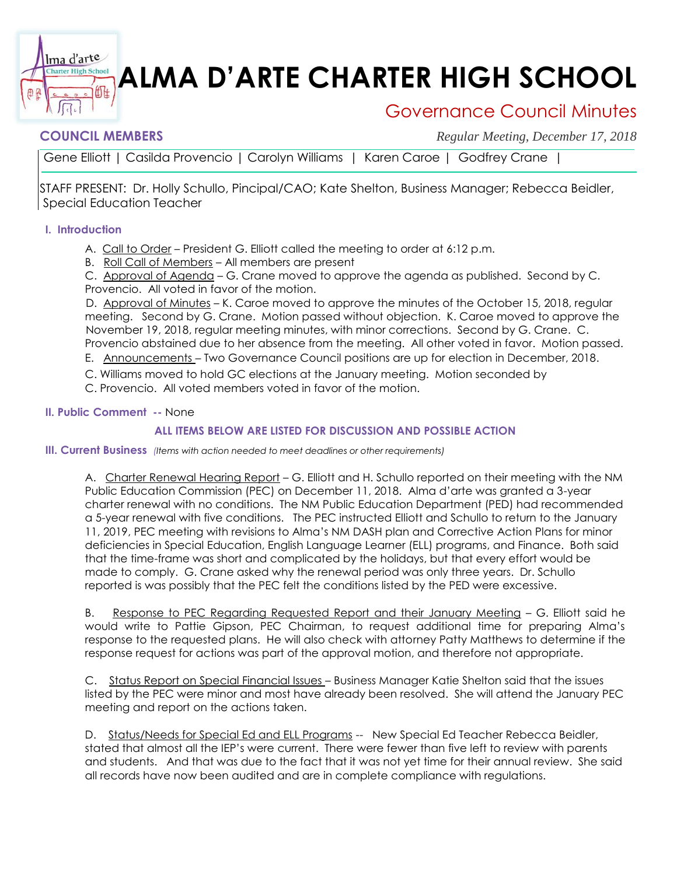# **ALMA D'ARTE CHARTER HIGH SCHOOL**

## Governance Council Minutes

衄

**COUNCIL MEMBERS** *Regular Meeting, December 17, 2018*

Gene Elliott | Casilda Provencio | Carolyn Williams | Karen Caroe | Godfrey Crane |

STAFF PRESENT: Dr. Holly Schullo, Pincipal/CAO; Kate Shelton, Business Manager; Rebecca Beidler, Special Education Teacher

#### **I. Introduction**

lma d'arte **Tharter High School** 

- A. Call to Order President G. Elliott called the meeting to order at 6:12 p.m.
- B. Roll Call of Members All members are present

C. Approval of Agenda - G. Crane moved to approve the agenda as published. Second by C. Provencio. All voted in favor of the motion.

D. Approval of Minutes - K. Caroe moved to approve the minutes of the October 15, 2018, regular meeting. Second by G. Crane. Motion passed without objection. K. Caroe moved to approve the November 19, 2018, regular meeting minutes, with minor corrections. Second by G. Crane. C. Provencio abstained due to her absence from the meeting. All other voted in favor. Motion passed.

E. Announcements – Two Governance Council positions are up for election in December, 2018.

C. Williams moved to hold GC elections at the January meeting. Motion seconded by

C. Provencio. All voted members voted in favor of the motion.

#### **II. Public Comment --** None

### **ALL ITEMS BELOW ARE LISTED FOR DISCUSSION AND POSSIBLE ACTION**

#### **III. Current Business** *(Items with action needed to meet deadlines or other requirements)*

A. Charter Renewal Hearing Report – G. Elliott and H. Schullo reported on their meeting with the NM Public Education Commission (PEC) on December 11, 2018. Alma d'arte was granted a 3-year charter renewal with no conditions. The NM Public Education Department (PED) had recommended a 5-year renewal with five conditions. The PEC instructed Elliott and Schullo to return to the January 11, 2019, PEC meeting with revisions to Alma's NM DASH plan and Corrective Action Plans for minor deficiencies in Special Education, English Language Learner (ELL) programs, and Finance. Both said that the time-frame was short and complicated by the holidays, but that every effort would be made to comply. G. Crane asked why the renewal period was only three years. Dr. Schullo reported is was possibly that the PEC felt the conditions listed by the PED were excessive.

B. Response to PEC Regarding Requested Report and their January Meeting – G. Elliott said he would write to Pattie Gipson, PEC Chairman, to request additional time for preparing Alma's response to the requested plans. He will also check with attorney Patty Matthews to determine if the response request for actions was part of the approval motion, and therefore not appropriate.

C. Status Report on Special Financial Issues – Business Manager Katie Shelton said that the issues listed by the PEC were minor and most have already been resolved. She will attend the January PEC meeting and report on the actions taken.

and students. And that was due to the fact that it was not yet time for their annual review. She said D. Status/Needs for Special Ed and ELL Programs -- New Special Ed Teacher Rebecca Beidler, stated that almost all the IEP's were current. There were fewer than five left to review with parents all records have now been audited and are in complete compliance with regulations.